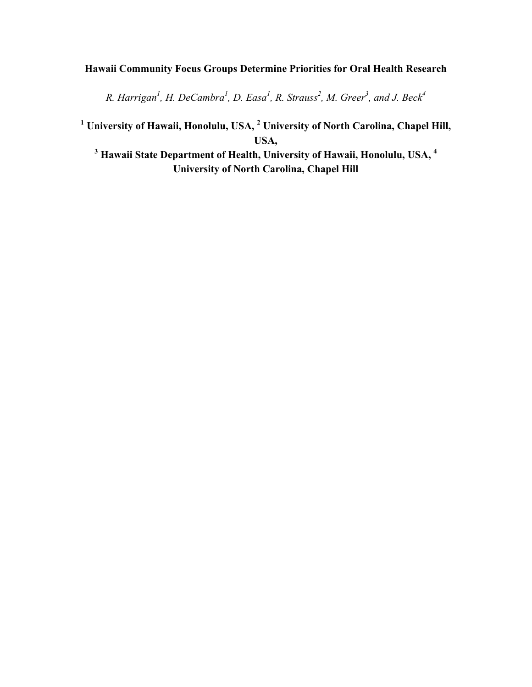# **Hawaii Community Focus Groups Determine Priorities for Oral Health Research**

*R. Harrigan1 , H. DeCambra1 , D. Easa1 , R. Strauss<sup>2</sup> , M. Greer<sup>3</sup> , and J. Beck<sup>4</sup>*

**<sup>1</sup> University of Hawaii, Honolulu, USA, 2 University of North Carolina, Chapel Hill, USA,** 

**<sup>3</sup> Hawaii State Department of Health, University of Hawaii, Honolulu, USA, <sup>4</sup> University of North Carolina, Chapel Hill**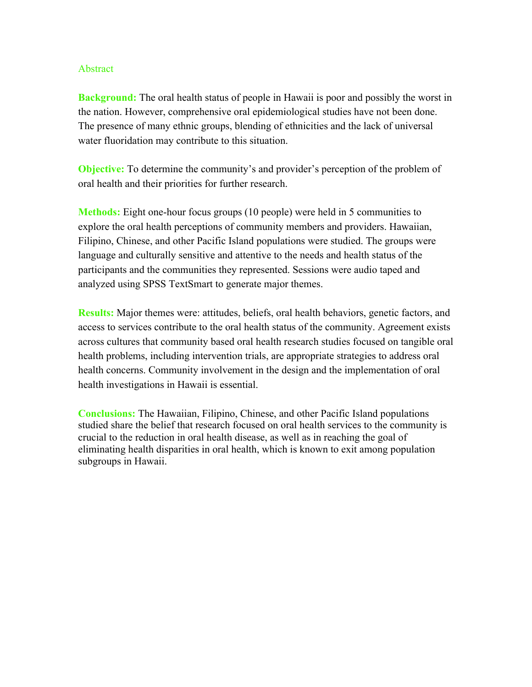#### Abstract

**Background:** The oral health status of people in Hawaii is poor and possibly the worst in the nation. However, comprehensive oral epidemiological studies have not been done. The presence of many ethnic groups, blending of ethnicities and the lack of universal water fluoridation may contribute to this situation.

**Objective:** To determine the community's and provider's perception of the problem of oral health and their priorities for further research.

**Methods:** Eight one-hour focus groups (10 people) were held in 5 communities to explore the oral health perceptions of community members and providers. Hawaiian, Filipino, Chinese, and other Pacific Island populations were studied. The groups were language and culturally sensitive and attentive to the needs and health status of the participants and the communities they represented. Sessions were audio taped and analyzed using SPSS TextSmart to generate major themes.

**Results:** Major themes were: attitudes, beliefs, oral health behaviors, genetic factors, and access to services contribute to the oral health status of the community. Agreement exists across cultures that community based oral health research studies focused on tangible oral health problems, including intervention trials, are appropriate strategies to address oral health concerns. Community involvement in the design and the implementation of oral health investigations in Hawaii is essential.

**Conclusions:** The Hawaiian, Filipino, Chinese, and other Pacific Island populations studied share the belief that research focused on oral health services to the community is crucial to the reduction in oral health disease, as well as in reaching the goal of eliminating health disparities in oral health, which is known to exit among population subgroups in Hawaii.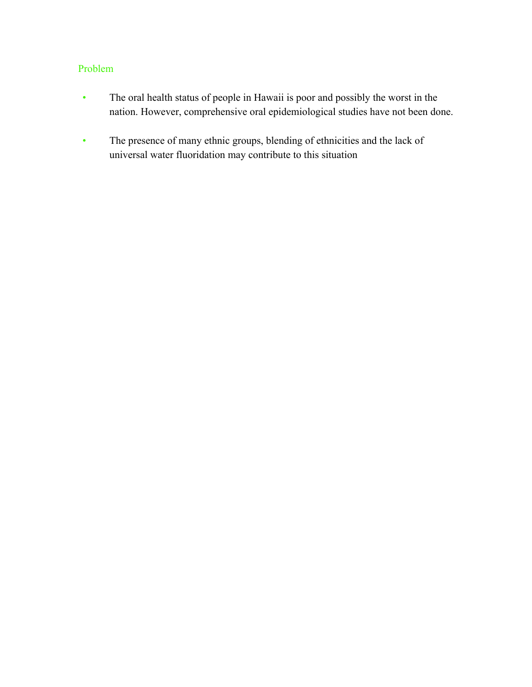# Problem

- The oral health status of people in Hawaii is poor and possibly the worst in the nation. However, comprehensive oral epidemiological studies have not been done.
- The presence of many ethnic groups, blending of ethnicities and the lack of universal water fluoridation may contribute to this situation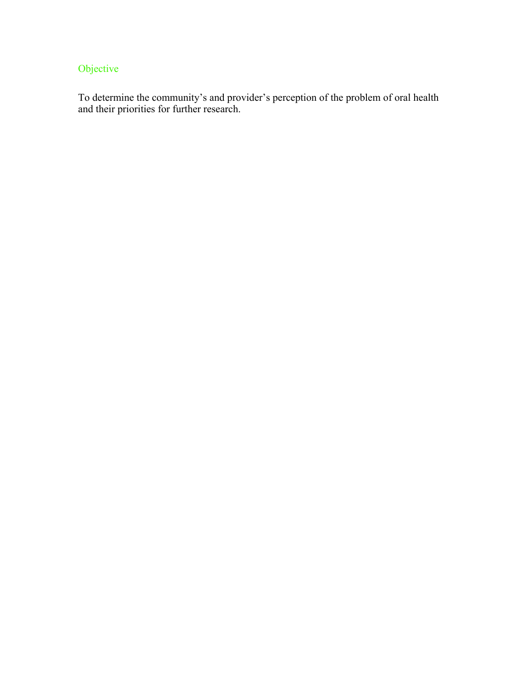# Objective

To determine the community's and provider's perception of the problem of oral health and their priorities for further research.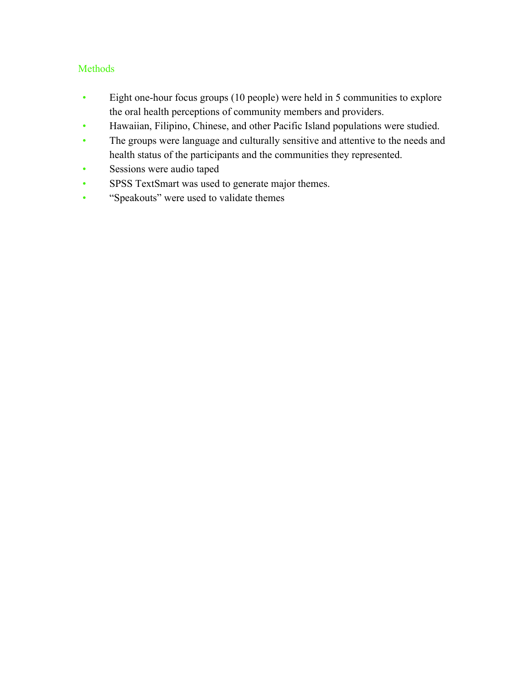# Methods

- Eight one-hour focus groups (10 people) were held in 5 communities to explore the oral health perceptions of community members and providers.
- Hawaiian, Filipino, Chinese, and other Pacific Island populations were studied.
- The groups were language and culturally sensitive and attentive to the needs and health status of the participants and the communities they represented.
- Sessions were audio taped
- SPSS TextSmart was used to generate major themes.
- "Speakouts" were used to validate themes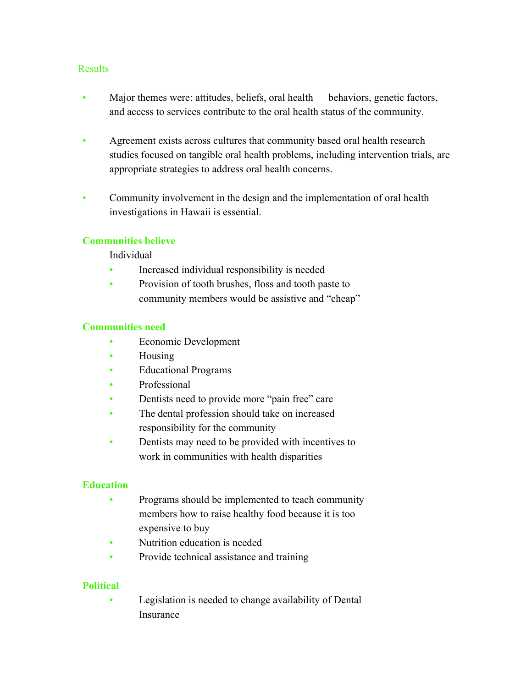#### **Results**

- Major themes were: attitudes, beliefs, oral health behaviors, genetic factors, and access to services contribute to the oral health status of the community.
- Agreement exists across cultures that community based oral health research studies focused on tangible oral health problems, including intervention trials, are appropriate strategies to address oral health concerns.
- Community involvement in the design and the implementation of oral health investigations in Hawaii is essential.

### **Communities believe**

Individual

- Increased individual responsibility is needed
- Provision of tooth brushes, floss and tooth paste to community members would be assistive and "cheap"

#### **Communities need**

- Economic Development
- Housing
- Educational Programs
- Professional
- Dentists need to provide more "pain free" care
- The dental profession should take on increased responsibility for the community
- Dentists may need to be provided with incentives to work in communities with health disparities

#### **Education**

- Programs should be implemented to teach community members how to raise healthy food because it is too expensive to buy
- Nutrition education is needed
- Provide technical assistance and training

#### **Political**

• Legislation is needed to change availability of Dental Insurance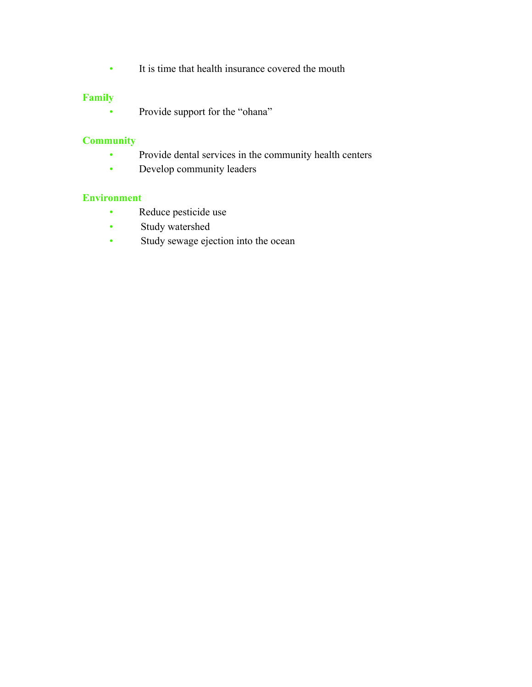• It is time that health insurance covered the mouth

# **Family**

• Provide support for the "ohana"

# **Community**

- Provide dental services in the community health centers
- Develop community leaders

#### **Environment**

- Reduce pesticide use
- Study watershed
- Study sewage ejection into the ocean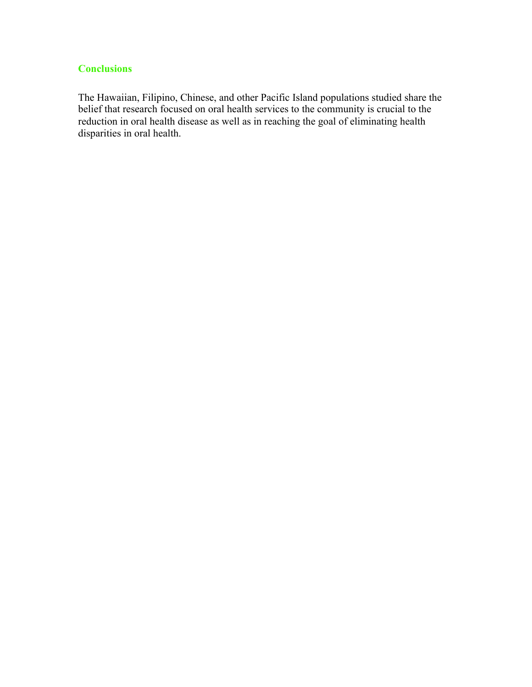# **Conclusions**

The Hawaiian, Filipino, Chinese, and other Pacific Island populations studied share the belief that research focused on oral health services to the community is crucial to the reduction in oral health disease as well as in reaching the goal of eliminating health disparities in oral health.